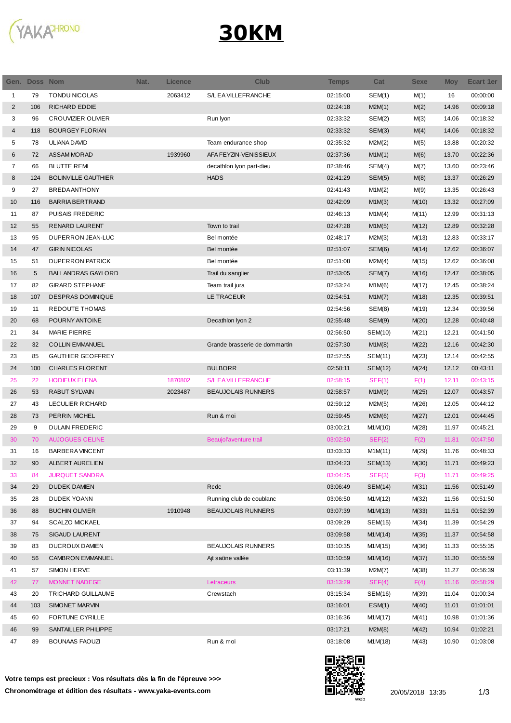

## **30KM**

| Gen.           | <b>Doss Nom</b> |                            | Nat. | <b>Licence</b> | <b>Club</b>                   | <b>Temps</b> | Cat     | <b>Sexe</b> | <b>Moy</b> | <b>Ecart 1er</b> |
|----------------|-----------------|----------------------------|------|----------------|-------------------------------|--------------|---------|-------------|------------|------------------|
| $\mathbf{1}$   | 79              | <b>TONDU NICOLAS</b>       |      | 2063412        | S/L EA VILLEFRANCHE           | 02:15:00     | SEM(1)  | M(1)        | 16         | 00:00:00         |
| $\overline{2}$ | 106             | <b>RICHARD EDDIE</b>       |      |                |                               | 02:24:18     | M2M(1)  | M(2)        | 14.96      | 00:09:18         |
| 3              | 96              | <b>CROUVIZIER OLIVIER</b>  |      |                | Run Iyon                      | 02:33:32     | SEM(2)  | M(3)        | 14.06      | 00:18:32         |
| 4              | 118             | <b>BOURGEY FLORIAN</b>     |      |                |                               | 02:33:32     | SEM(3)  | M(4)        | 14.06      | 00:18:32         |
| 5              | 78              | ULIANA DAVID               |      |                | Team endurance shop           | 02:35:32     | M2M(2)  | M(5)        | 13.88      | 00:20:32         |
| 6              | 72              | <b>ASSAM MORAD</b>         |      | 1939960        | AFA FEYZIN-VENISSIEUX         | 02:37:36     | M1M(1)  | M(6)        | 13.70      | 00:22:36         |
| 7              | 66              | <b>BLUTTE REMI</b>         |      |                | decathlon Iyon part-dieu      | 02:38:46     | SEM(4)  | M(7)        | 13.60      | 00:23:46         |
| 8              | 124             | <b>BOLINVILLE GAUTHIER</b> |      |                | <b>HADS</b>                   | 02:41:29     | SEM(5)  | M(8)        | 13.37      | 00:26:29         |
| 9              | 27              | <b>BREDAANTHONY</b>        |      |                |                               | 02:41:43     | M1M(2)  | M(9)        | 13.35      | 00:26:43         |
| 10             | 116             | <b>BARRIA BERTRAND</b>     |      |                |                               | 02:42:09     | M1M(3)  | M(10)       | 13.32      | 00:27:09         |
| 11             | 87              | PUISAIS FREDERIC           |      |                |                               | 02:46:13     | M1M(4)  | M(11)       | 12.99      | 00:31:13         |
| 12             | 55              | <b>RENARD LAURENT</b>      |      |                | Town to trail                 | 02:47:28     | M1M(5)  | M(12)       | 12.89      | 00:32:28         |
| 13             | 95              | DUPERRON JEAN-LUC          |      |                | Bel montée                    | 02:48:17     | M2M(3)  | M(13)       | 12.83      | 00:33:17         |
| 14             | 47              | <b>GIRIN NICOLAS</b>       |      |                | Bel montée                    | 02:51:07     | SEM(6)  | M(14)       | 12.62      | 00:36:07         |
| 15             | 51              | <b>DUPERRON PATRICK</b>    |      |                | Bel montée                    | 02:51:08     | M2M(4)  | M(15)       | 12.62      | 00:36:08         |
| 16             | 5               | <b>BALLANDRAS GAYLORD</b>  |      |                | Trail du sanglier             | 02:53:05     | SEM(7)  | M(16)       | 12.47      | 00:38:05         |
| 17             | 82              | <b>GIRARD STEPHANE</b>     |      |                | Team trail jura               | 02:53:24     | M1M(6)  | M(17)       | 12.45      | 00:38:24         |
| 18             | 107             | <b>DESPRAS DOMINIQUE</b>   |      |                | LE TRACEUR                    | 02:54:51     | M1M(7)  | M(18)       | 12.35      | 00:39:51         |
| 19             | 11              | REDOUTE THOMAS             |      |                |                               | 02:54:56     | SEM(8)  | M(19)       | 12.34      | 00:39:56         |
| 20             | 68              | POURNY ANTOINE             |      |                | Decathlon Iyon 2              | 02:55:48     | SEM(9)  | M(20)       | 12.28      | 00:40:48         |
| 21             | 34              | <b>MARIE PIERRE</b>        |      |                |                               | 02:56:50     | SEM(10) | M(21)       | 12.21      | 00:41:50         |
| 22             | 32              | <b>COLLIN EMMANUEL</b>     |      |                | Grande brasserie de dommartin | 02:57:30     | M1M(8)  | M(22)       | 12.16      | 00:42:30         |
| 23             | 85              | <b>GAUTHIER GEOFFREY</b>   |      |                |                               | 02:57:55     | SEM(11) | M(23)       | 12.14      | 00:42:55         |
| 24             | 100             | <b>CHARLES FLORENT</b>     |      |                | <b>BULBORR</b>                | 02:58:11     | SEM(12) | M(24)       | 12.12      | 00:43:11         |
| 25             | 22              | <b>HODIEUX ELENA</b>       |      | 1870802        | S/L EA VILLEFRANCHE           | 02:58:15     | SEF(1)  | F(1)        | 12.11      | 00:43:15         |
| 26             | 53              | <b>RABUT SYLVAIN</b>       |      | 2023487        | <b>BEAUJOLAIS RUNNERS</b>     | 02:58:57     | M1M(9)  | M(25)       | 12.07      | 00:43:57         |
| 27             | 43              | LECULIER RICHARD           |      |                |                               | 02:59:12     | M2M(5)  | M(26)       | 12.05      | 00:44:12         |
| 28             | 73              | PERRIN MICHEL              |      |                | Run & moi                     | 02:59:45     | M2M(6)  | M(27)       | 12.01      | 00:44:45         |
| 29             | 9               | <b>DULAIN FREDERIC</b>     |      |                |                               | 03:00:21     | M1M(10) | M(28)       | 11.97      | 00:45:21         |
| 30             | 70              | <b>AUJOGUES CELINE</b>     |      |                | Beaujol'aventure trail        | 03:02:50     | SEF(2)  | F(2)        | 11.81      | 00:47:50         |
| 31             | 16              | <b>BARBERA VINCENT</b>     |      |                |                               | 03:03:33     | M1M(11) | M(29)       | 11.76      | 00:48:33         |
| 32             | 90              | ALBERT AURELIEN            |      |                |                               | 03:04:23     | SEM(13) | M(30)       | 11.71      | 00:49:23         |
| 33             | 84              | <b>JURQUET SANDRA</b>      |      |                |                               | 03:04:25     | SEF(3)  | F(3)        | 11.71      | 00:49:25         |
| 34             | 29              | <b>DUDEK DAMIEN</b>        |      |                | Rcdc                          | 03:06:49     | SEM(14) | M(31)       | 11.56      | 00:51:49         |
| 35             | 28              | DUDEK YOANN                |      |                | Running club de coublanc      | 03:06:50     | M1M(12) | M(32)       | 11.56      | 00:51:50         |
| 36             | 88              | <b>BUCHIN OLIVIER</b>      |      | 1910948        | <b>BEAUJOLAIS RUNNERS</b>     | 03:07:39     | M1M(13) | M(33)       | 11.51      | 00:52:39         |
| 37             | 94              | <b>SCALZO MICKAEL</b>      |      |                |                               | 03:09:29     | SEM(15) | M(34)       | 11.39      | 00:54:29         |
| 38             | 75              | <b>SIGAUD LAURENT</b>      |      |                |                               | 03:09:58     | M1M(14) | M(35)       | 11.37      | 00:54:58         |
| 39             | 83              | DUCROUX DAMIEN             |      |                | <b>BEAUJOLAIS RUNNERS</b>     | 03:10:35     | M1M(15) | M(36)       | 11.33      | 00:55:35         |
| 40             | 56              | <b>CAMBRON EMMANUEL</b>    |      |                | Ajt saône vallée              | 03:10:59     | M1M(16) | M(37)       | 11.30      | 00:55:59         |
| 41             | 57              | SIMON HERVE                |      |                |                               | 03:11:39     | M2M(7)  | M(38)       | 11.27      | 00:56:39         |
| 42             | 77              | MONNET NADEGE              |      |                | Letraceurs                    | 03:13:29     | SEF(4)  | F(4)        | 11.16      | 00:58:29         |
| 43             | 20              | TRICHARD GUILLAUME         |      |                | Crewstach                     | 03:15:34     | SEM(16) | M(39)       | 11.04      | 01:00:34         |
| 44             | 103             | SIMONET MARVIN             |      |                |                               | 03:16:01     | ESM(1)  | M(40)       | 11.01      | 01:01:01         |
| 45             | 60              | <b>FORTUNE CYRILLE</b>     |      |                |                               | 03:16:36     | M1M(17) | M(41)       | 10.98      | 01:01:36         |
| 46             | 99              | SANTAILLER PHILIPPE        |      |                |                               | 03:17:21     | M2M(8)  | M(42)       | 10.94      | 01:02:21         |
| 47             | 89              | <b>BOUNAAS FAOUZI</b>      |      |                | Run & moi                     | 03:18:08     | M1M(18) | M(43)       | 10.90      | 01:03:08         |
|                |                 |                            |      |                |                               |              |         |             |            |                  |

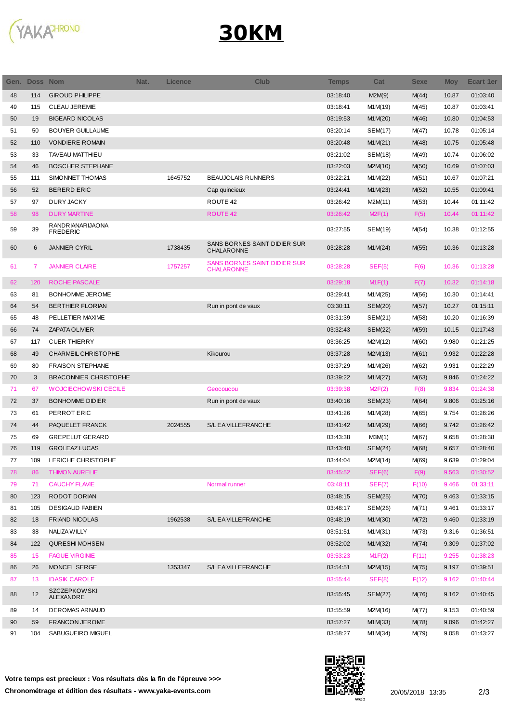

## **30KM**

| Gen. | Doss Nom |                              | Nat. | <b>Licence</b> | <b>Club</b>                                | <b>Temps</b> | Cat     | <b>Sexe</b> | <b>Moy</b> | <b>Ecart 1er</b> |
|------|----------|------------------------------|------|----------------|--------------------------------------------|--------------|---------|-------------|------------|------------------|
| 48   | 114      | <b>GIROUD PHILIPPE</b>       |      |                |                                            | 03:18:40     | M2M(9)  | M(44)       | 10.87      | 01:03:40         |
| 49   | 115      | <b>CLEAU JEREMIE</b>         |      |                |                                            | 03:18:41     | M1M(19) | M(45)       | 10.87      | 01:03:41         |
| 50   | 19       | <b>BIGEARD NICOLAS</b>       |      |                |                                            | 03:19:53     | M1M(20) | M(46)       | 10.80      | 01:04:53         |
| 51   | 50       | <b>BOUYER GUILLAUME</b>      |      |                |                                            | 03:20:14     | SEM(17) | M(47)       | 10.78      | 01:05:14         |
| 52   | 110      | <b>VONDIERE ROMAIN</b>       |      |                |                                            | 03:20:48     | M1M(21) | M(48)       | 10.75      | 01:05:48         |
| 53   | 33       | <b>TAVEAU MATTHIEU</b>       |      |                |                                            | 03:21:02     | SEM(18) | M(49)       | 10.74      | 01:06:02         |
| 54   | 46       | <b>BOSCHER STEPHANE</b>      |      |                |                                            | 03:22:03     | M2M(10) | M(50)       | 10.69      | 01:07:03         |
| 55   | 111      | SIMONNET THOMAS              |      | 1645752        | <b>BEAUJOLAIS RUNNERS</b>                  | 03:22:21     | M1M(22) | M(51)       | 10.67      | 01:07:21         |
| 56   | 52       | <b>BERERD ERIC</b>           |      |                | Cap quincieux                              | 03:24:41     | M1M(23) | M(52)       | 10.55      | 01:09:41         |
| 57   | 97       | <b>DURY JACKY</b>            |      |                | ROUTE 42                                   | 03:26:42     | M2M(11) | M(53)       | 10.44      | 01:11:42         |
| 58   | 98       | <b>DURY MARTINE</b>          |      |                | ROUTE 42                                   | 03:26:42     | M2F(1)  | F(5)        | 10.44      | 01:11:42         |
|      |          | RANDRIANARIJAONA             |      |                |                                            |              |         |             |            |                  |
| 59   | 39       | <b>FREDERIC</b>              |      |                |                                            | 03:27:55     | SEM(19) | M(54)       | 10.38      | 01:12:55         |
| 60   | 6        | <b>JANNIER CYRIL</b>         |      | 1738435        | SANS BORNES SAINT DIDIER SUR<br>CHALARONNE | 03:28:28     | M1M(24) | M(55)       | 10.36      | 01:13:28         |
| 61   | 7        | <b>JANNIER CLAIRE</b>        |      | 1757257        | SANS BORNES SAINT DIDIER SUR<br>CHALARONNE | 03:28:28     | SEF(5)  | F(6)        | 10.36      | 01:13:28         |
| 62   | 120      | ROCHE PASCALE                |      |                |                                            | 03:29:18     | M1F(1)  | F(7)        | 10.32      | 01:14:18         |
| 63   | 81       | BONHOMME JEROME              |      |                |                                            | 03:29:41     | M1M(25) | M(56)       | 10.30      | 01:14:41         |
| 64   | 54       | <b>BERTHIER FLORIAN</b>      |      |                | Run in pont de vaux                        | 03:30:11     | SEM(20) | M(57)       | 10.27      | 01:15:11         |
| 65   | 48       | PELLETIER MAXIME             |      |                |                                            | 03:31:39     | SEM(21) | M(58)       | 10.20      | 01:16:39         |
| 66   | 74       | <b>ZAPATA OLIVIER</b>        |      |                |                                            | 03:32:43     | SEM(22) | M(59)       | 10.15      | 01:17:43         |
| 67   | 117      | <b>CUER THIERRY</b>          |      |                |                                            | 03:36:25     | M2M(12) | M(60)       | 9.980      | 01:21:25         |
| 68   | 49       | CHARMEIL CHRISTOPHE          |      |                | Kikourou                                   | 03:37:28     | M2M(13) | M(61)       | 9.932      | 01:22:28         |
| 69   | 80       | <b>FRAISON STEPHANE</b>      |      |                |                                            | 03:37:29     | M1M(26) | M(62)       | 9.931      | 01:22:29         |
| 70   | 3        | <b>BRACONNIER CHRISTOPHE</b> |      |                |                                            | 03:39:22     | M1M(27) | M(63)       | 9.846      | 01:24:22         |
| 71   | 67       | <b>WOJCIECHOWSKI CECILE</b>  |      |                | Geocoucou                                  | 03:39:38     | M2F(2)  | F(8)        | 9.834      | 01:24:38         |
| 72   | 37       | <b>BONHOMME DIDIER</b>       |      |                | Run in pont de vaux                        | 03:40:16     | SEM(23) | M(64)       | 9.806      | 01:25:16         |
| 73   | 61       | PERROT ERIC                  |      |                |                                            | 03:41:26     | M1M(28) | M(65)       | 9.754      | 01:26:26         |
| 74   | 44       | PAQUELET FRANCK              |      | 2024555        | S/L EA VILLEFRANCHE                        | 03:41:42     | M1M(29) | M(66)       | 9.742      | 01:26:42         |
| 75   | 69       | <b>GREPELUT GERARD</b>       |      |                |                                            | 03:43:38     | M3M(1)  | M(67)       | 9.658      | 01:28:38         |
| 76   | 119      | <b>GROLEAZ LUCAS</b>         |      |                |                                            | 03:43:40     | SEM(24) | M(68)       | 9.657      | 01:28:40         |
| 77   | 109      | LERICHE CHRISTOPHE           |      |                |                                            | 03:44:04     | M2M(14) | M(69)       | 9.639      | 01:29:04         |
| 78   | 86       | <b>THIMON AURELIE</b>        |      |                |                                            | 03:45:52     | SEF(6)  | F(9)        | 9.563      | 01:30:52         |
| 79   | 71       | <b>CAUCHY FLAVIE</b>         |      |                | Normal runner                              | 03:48:11     | SEF(7)  | F(10)       | 9.466      | 01:33:11         |
| 80   | 123      | <b>RODOT DORIAN</b>          |      |                |                                            | 03:48:15     | SEM(25) | M(70)       | 9.463      | 01:33:15         |
| 81   | 105      | <b>DESIGAUD FABIEN</b>       |      |                |                                            | 03:48:17     | SEM(26) | M(71)       | 9.461      | 01:33:17         |
| 82   | 18       | <b>FRIAND NICOLAS</b>        |      | 1962538        | S/L EA VILLEFRANCHE                        | 03:48:19     | M1M(30) | M(72)       | 9.460      | 01:33:19         |
| 83   | 38       | NALIZA WILLY                 |      |                |                                            | 03:51:51     | M1M(31) | M(73)       | 9.316      | 01:36:51         |
| 84   | 122      | QURESHI MOHSEN               |      |                |                                            | 03:52:02     | M1M(32) | M(74)       | 9.309      | 01:37:02         |
| 85   | 15       | <b>FAGUE VIRGINIE</b>        |      |                |                                            | 03:53:23     | M1F(2)  | F(11)       | 9.255      | 01:38:23         |
| 86   | 26       | MONCEL SERGE                 |      | 1353347        | S/L EA VILLEFRANCHE                        | 03:54:51     |         |             | 9.197      | 01:39:51         |
| 87   | 13       | <b>IDASIK CAROLE</b>         |      |                |                                            | 03:55:44     | M2M(15) | M(75)       | 9.162      | 01:40:44         |
|      |          | <b>SZCZEPKOWSKI</b>          |      |                |                                            |              | SEF(8)  | F(12)       |            |                  |
| 88   | 12       | ALEXANDRE                    |      |                |                                            | 03:55:45     | SEM(27) | M(76)       | 9.162      | 01:40:45         |
| 89   | 14       | DEROMAS ARNAUD               |      |                |                                            | 03:55:59     | M2M(16) | M(77)       | 9.153      | 01:40:59         |
| 90   | 59       | FRANCON JEROME               |      |                |                                            | 03:57:27     | M1M(33) | M(78)       | 9.096      | 01:42:27         |
| 91   | 104      | SABUGUEIRO MIGUEL            |      |                |                                            | 03:58:27     | M1M(34) | M(79)       | 9.058      | 01:43:27         |